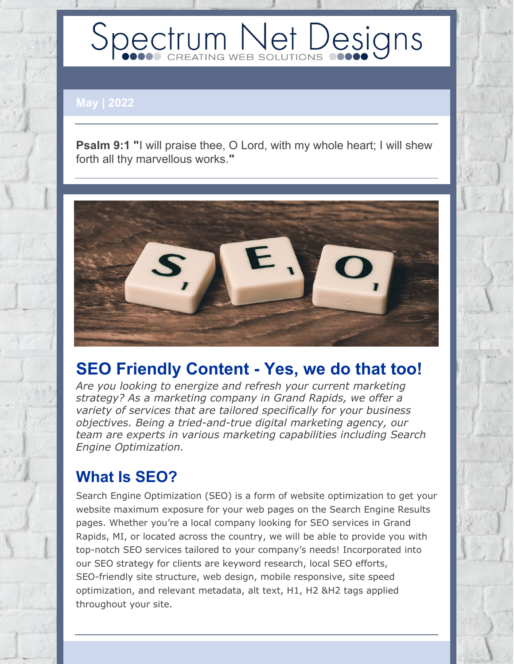# Spectrum Net Designs

**May | 2022**

**Psalm 9:1 "**I will praise thee, O Lord, with my whole heart; I will shew forth all thy marvellous works.**"**



## **SEO Friendly Content - Yes, we do that too!**

*Are you looking to energize and refresh your current marketing strategy? As a marketing company in Grand Rapids, we offer a variety of services that are tailored specifically for your business objectives. Being a tried-and-true digital marketing agency, our team are experts in various marketing capabilities including Search Engine Optimization.*

## **What Is SEO?**

Search Engine Optimization (SEO) is a form of website optimization to get your website maximum exposure for your web pages on the Search Engine Results pages. Whether you're a local company looking for SEO services in Grand Rapids, MI, or located across the country, we will be able to provide you with top-notch SEO services tailored to your company's needs! Incorporated into our SEO strategy for clients are keyword research, local SEO efforts, SEO-friendly site structure, web design, mobile responsive, site speed optimization, and relevant metadata, alt text, H1, H2 &H2 tags applied throughout your site.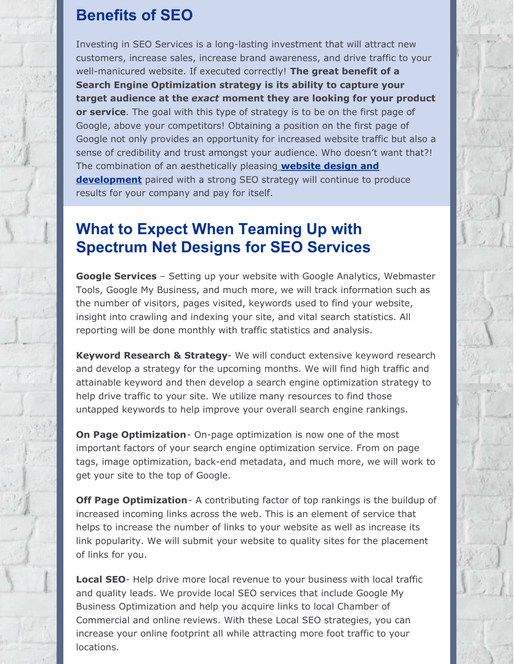## **Benefits of SEO**

Investing in SEO Services is a long-lasting investment that will attract new customers, increase sales, increase brand awareness, and drive traffic to your well-manicured website. If executed correctly! **The great benefit of a Search Engine Optimization strategy is its ability to capture your target audience at the** *exact* **moment they are looking for your product or service**. The goal with this type of strategy is to be on the first page of Google, above your competitors! Obtaining a position on the first page of Google not only provides an opportunity for increased website traffic but also a sense of credibility and trust amongst your audience. Who doesn't want that?! The combination of an aesthetically pleasin[g](https://www.spectrumnetdesigns.com/web-development/) **website design and [development](https://www.spectrumnetdesigns.com/web-development/)** paired with a strong SEO strategy will continue to produce results for your company and pay for itself.

## **What to Expect When Teaming Up with Spectrum Net Designs for SEO Services**

**Google Services** – Setting up your website with Google Analytics, Webmaster Tools, Google My Business, and much more, we will track information such as the number of visitors, pages visited, keywords used to find your website, insight into crawling and indexing your site, and vital search statistics. All reporting will be done monthly with traffic statistics and analysis.

**Keyword Research & Strategy**- We will conduct extensive keyword research and develop a strategy for the upcoming months. We will find high traffic and attainable keyword and then develop a search engine optimization strategy to help drive traffic to your site. We utilize many resources to find those untapped keywords to help improve your overall search engine rankings.

**On Page Optimization**- On-page optimization is now one of the most important factors of your search engine optimization service. From on page tags, image optimization, back-end metadata, and much more, we will work to get your site to the top of Google.

**Off Page Optimization**- A contributing factor of top rankings is the buildup of increased incoming links across the web. This is an element of service that helps to increase the number of links to your website as well as increase its link popularity. We will submit your website to quality sites for the placement of links for you.

**Local SEO**- Help drive more local revenue to your business with local traffic and quality leads. We provide local SEO services that include Google My Business Optimization and help you acquire links to local Chamber of Commercial and online reviews. With these Local SEO strategies, you can increase your online footprint all while attracting more foot traffic to your locations.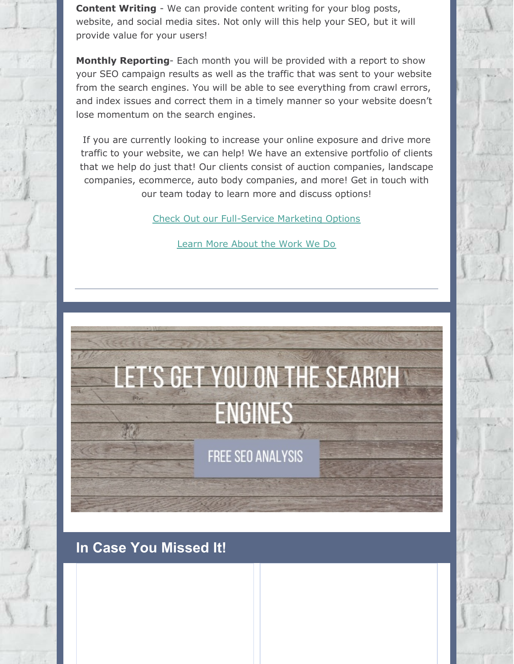**Content Writing** - We can provide content writing for your blog posts, website, and social media sites. Not only will this help your SEO, but it will provide value for your users!

**Monthly Reporting**- Each month you will be provided with a report to show your SEO campaign results as well as the traffic that was sent to your website from the search engines. You will be able to see everything from crawl errors, and index issues and correct them in a timely manner so your website doesn't lose momentum on the search engines.

If you are currently looking to increase your online exposure and drive more traffic to your website, we can help! We have an extensive portfolio of clients that we help do just that! Our clients consist of auction companies, landscape companies, ecommerce, auto body companies, and more! Get in touch with our team today to learn more and discuss options!

Check Out our [Full-Service](https://www.spectrumnetdesigns.com/marketing/) Marketing Options

Learn More [About](https://www.spectrumnetdesigns.com/our-work/) the Work We Do

## **ET'S GET YOU ON THE SEARCHY ENGINES**

FREE SEO ANALYSIS

### **In Case You Missed It!**